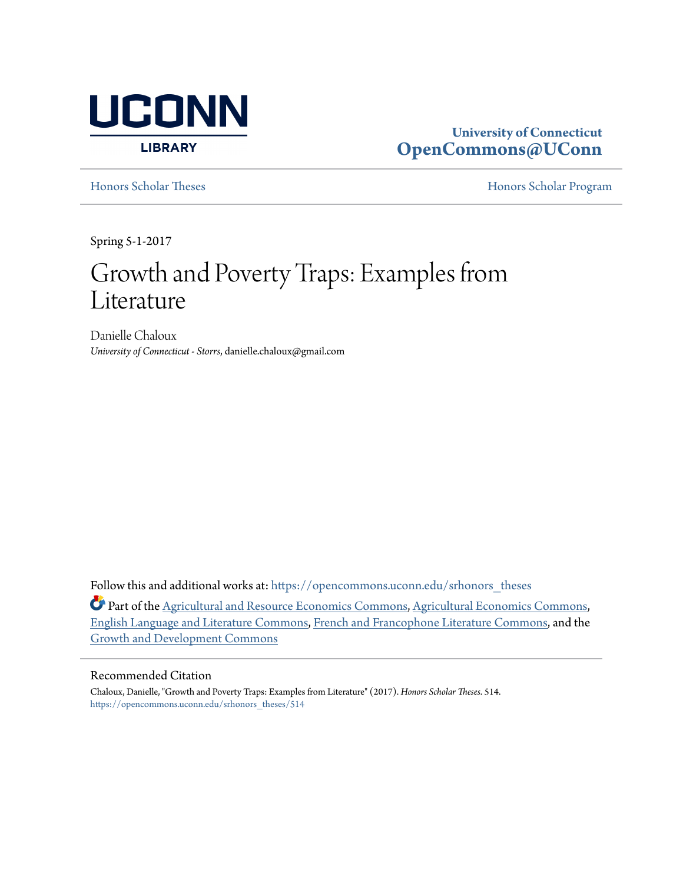

## **University of Connecticut [OpenCommons@UConn](https://opencommons.uconn.edu?utm_source=opencommons.uconn.edu%2Fsrhonors_theses%2F514&utm_medium=PDF&utm_campaign=PDFCoverPages)**

[Honors Scholar Theses](https://opencommons.uconn.edu/srhonors_theses?utm_source=opencommons.uconn.edu%2Fsrhonors_theses%2F514&utm_medium=PDF&utm_campaign=PDFCoverPages) [Honors Scholar Program](https://opencommons.uconn.edu/srhonors?utm_source=opencommons.uconn.edu%2Fsrhonors_theses%2F514&utm_medium=PDF&utm_campaign=PDFCoverPages)

Spring 5-1-2017

# Growth and Poverty Traps: Examples from Literature

Danielle Chaloux *University of Connecticut - Storrs*, danielle.chaloux@gmail.com

Follow this and additional works at: [https://opencommons.uconn.edu/srhonors\\_theses](https://opencommons.uconn.edu/srhonors_theses?utm_source=opencommons.uconn.edu%2Fsrhonors_theses%2F514&utm_medium=PDF&utm_campaign=PDFCoverPages)

Part of the [Agricultural and Resource Economics Commons](http://network.bepress.com/hgg/discipline/317?utm_source=opencommons.uconn.edu%2Fsrhonors_theses%2F514&utm_medium=PDF&utm_campaign=PDFCoverPages), [Agricultural Economics Commons,](http://network.bepress.com/hgg/discipline/1225?utm_source=opencommons.uconn.edu%2Fsrhonors_theses%2F514&utm_medium=PDF&utm_campaign=PDFCoverPages) [English Language and Literature Commons](http://network.bepress.com/hgg/discipline/455?utm_source=opencommons.uconn.edu%2Fsrhonors_theses%2F514&utm_medium=PDF&utm_campaign=PDFCoverPages), [French and Francophone Literature Commons,](http://network.bepress.com/hgg/discipline/465?utm_source=opencommons.uconn.edu%2Fsrhonors_theses%2F514&utm_medium=PDF&utm_campaign=PDFCoverPages) and the [Growth and Development Commons](http://network.bepress.com/hgg/discipline/346?utm_source=opencommons.uconn.edu%2Fsrhonors_theses%2F514&utm_medium=PDF&utm_campaign=PDFCoverPages)

#### Recommended Citation

Chaloux, Danielle, "Growth and Poverty Traps: Examples from Literature" (2017). *Honors Scholar Theses*. 514. [https://opencommons.uconn.edu/srhonors\\_theses/514](https://opencommons.uconn.edu/srhonors_theses/514?utm_source=opencommons.uconn.edu%2Fsrhonors_theses%2F514&utm_medium=PDF&utm_campaign=PDFCoverPages)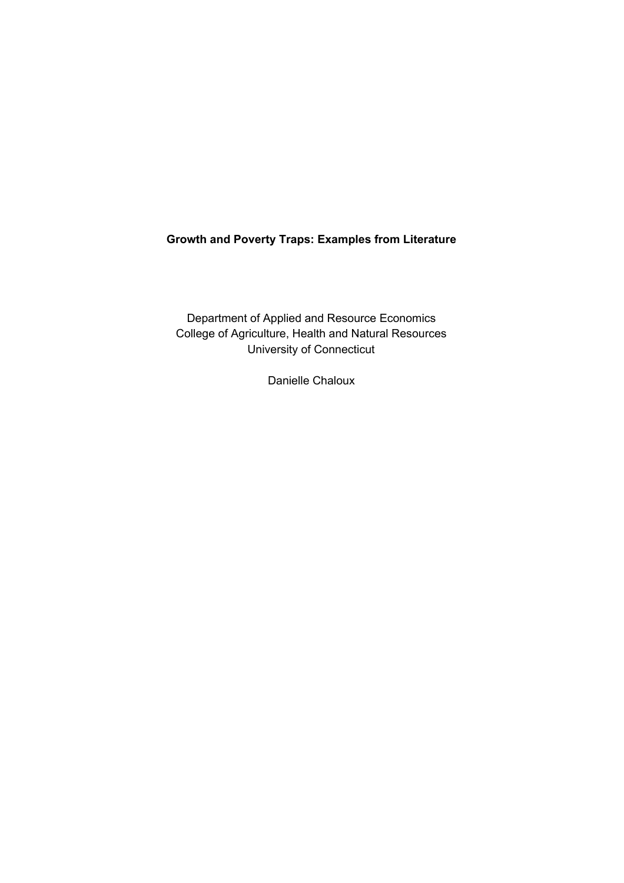## **Growth and Poverty Traps: Examples from Literature**

Department of Applied and Resource Economics College of Agriculture, Health and Natural Resources University of Connecticut

Danielle Chaloux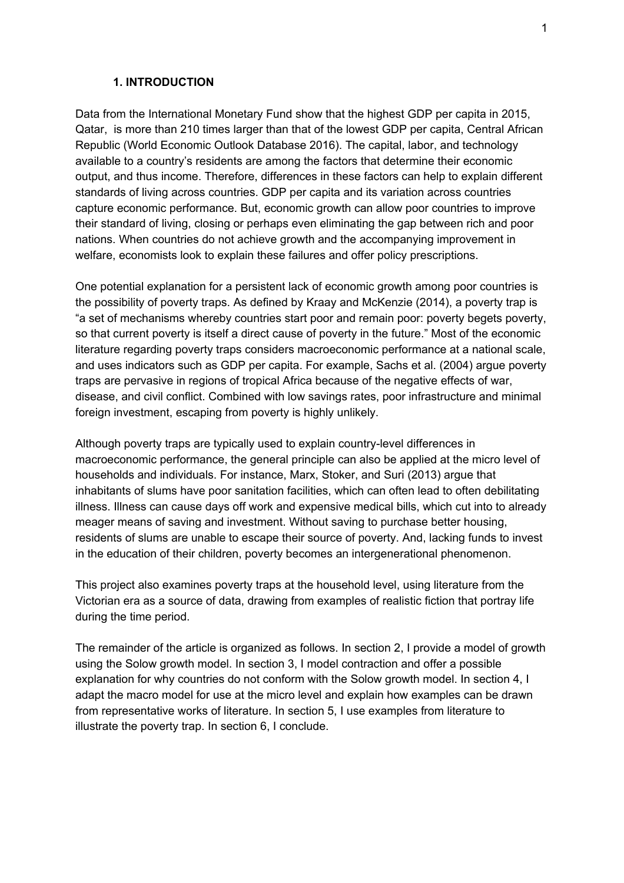#### **1. INTRODUCTION**

Data from the International Monetary Fund show that the highest GDP per capita in 2015, Qatar, is more than 210 times larger than that of the lowest GDP per capita, Central African Republic (World Economic Outlook Database 2016). The capital, labor, and technology available to a country's residents are among the factors that determine their economic output, and thus income. Therefore, differences in these factors can help to explain different standards of living across countries. GDP per capita and its variation across countries capture economic performance. But, economic growth can allow poor countries to improve their standard of living, closing or perhaps even eliminating the gap between rich and poor nations. When countries do not achieve growth and the accompanying improvement in welfare, economists look to explain these failures and offer policy prescriptions.

One potential explanation for a persistent lack of economic growth among poor countries is the possibility of poverty traps. As defined by Kraay and McKenzie (2014), a poverty trap is "a set of mechanisms whereby countries start poor and remain poor: poverty begets poverty, so that current poverty is itself a direct cause of poverty in the future." Most of the economic literature regarding poverty traps considers macroeconomic performance at a national scale, and uses indicators such as GDP per capita. For example, Sachs et al. (2004) argue poverty traps are pervasive in regions of tropical Africa because of the negative effects of war, disease, and civil conflict. Combined with low savings rates, poor infrastructure and minimal foreign investment, escaping from poverty is highly unlikely.

Although poverty traps are typically used to explain country-level differences in macroeconomic performance, the general principle can also be applied at the micro level of households and individuals. For instance, Marx, Stoker, and Suri (2013) argue that inhabitants of slums have poor sanitation facilities, which can often lead to often debilitating illness. Illness can cause days off work and expensive medical bills, which cut into to already meager means of saving and investment. Without saving to purchase better housing, residents of slums are unable to escape their source of poverty. And, lacking funds to invest in the education of their children, poverty becomes an intergenerational phenomenon.

This project also examines poverty traps at the household level, using literature from the Victorian era as a source of data, drawing from examples of realistic fiction that portray life during the time period.

The remainder of the article is organized as follows. In section 2, I provide a model of growth using the Solow growth model. In section 3, I model contraction and offer a possible explanation for why countries do not conform with the Solow growth model. In section 4, I adapt the macro model for use at the micro level and explain how examples can be drawn from representative works of literature. In section 5, I use examples from literature to illustrate the poverty trap. In section 6, I conclude.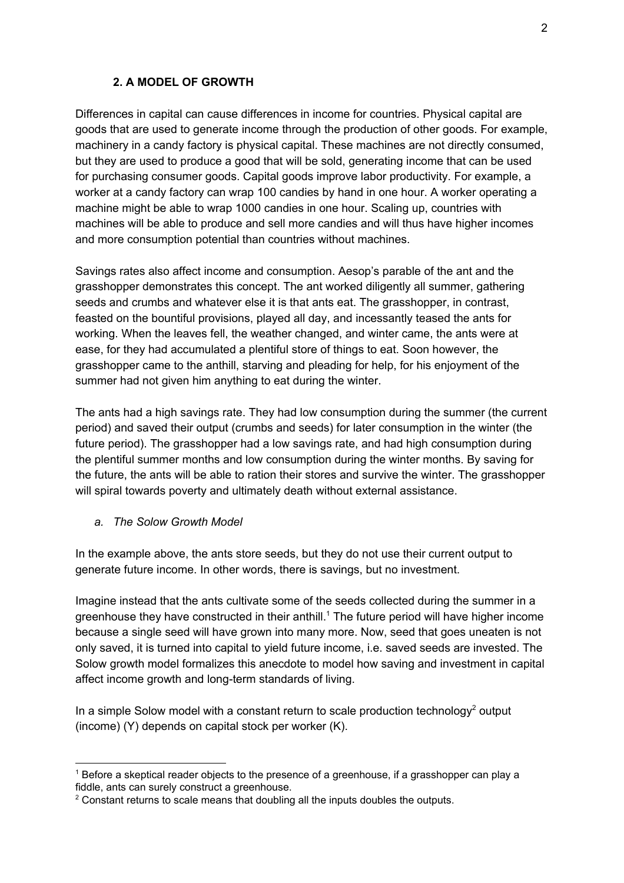## **2. A MODEL OF GROWTH**

Differences in capital can cause differences in income for countries. Physical capital are goods that are used to generate income through the production of other goods. For example, machinery in a candy factory is physical capital. These machines are not directly consumed, but they are used to produce a good that will be sold, generating income that can be used for purchasing consumer goods. Capital goods improve labor productivity. For example, a worker at a candy factory can wrap 100 candies by hand in one hour. A worker operating a machine might be able to wrap 1000 candies in one hour. Scaling up, countries with machines will be able to produce and sell more candies and will thus have higher incomes and more consumption potential than countries without machines.

Savings rates also affect income and consumption. Aesop's parable of the ant and the grasshopper demonstrates this concept. The ant worked diligently all summer, gathering seeds and crumbs and whatever else it is that ants eat. The grasshopper, in contrast, feasted on the bountiful provisions, played all day, and incessantly teased the ants for working. When the leaves fell, the weather changed, and winter came, the ants were at ease, for they had accumulated a plentiful store of things to eat. Soon however, the grasshopper came to the anthill, starving and pleading for help, for his enjoyment of the summer had not given him anything to eat during the winter.

The ants had a high savings rate. They had low consumption during the summer (the current period) and saved their output (crumbs and seeds) for later consumption in the winter (the future period). The grasshopper had a low savings rate, and had high consumption during the plentiful summer months and low consumption during the winter months. By saving for the future, the ants will be able to ration their stores and survive the winter. The grasshopper will spiral towards poverty and ultimately death without external assistance.

## *a. The Solow Growth Model*

In the example above, the ants store seeds, but they do not use their current output to generate future income. In other words, there is savings, but no investment.

Imagine instead that the ants cultivate some of the seeds collected during the summer in a greenhouse they have constructed in their anthill.<sup>1</sup> The future period will have higher income because a single seed will have grown into many more. Now, seed that goes uneaten is not only saved, it is turned into capital to yield future income, i.e. saved seeds are invested. The Solow growth model formalizes this anecdote to model how saving and investment in capital affect income growth and long-term standards of living.

In a simple Solow model with a constant return to scale production technology<sup>2</sup> output (income) (Y) depends on capital stock per worker (K).

<sup>&</sup>lt;sup>1</sup> Before a skeptical reader objects to the presence of a greenhouse, if a grasshopper can play a fiddle, ants can surely construct a greenhouse.

 $2$  Constant returns to scale means that doubling all the inputs doubles the outputs.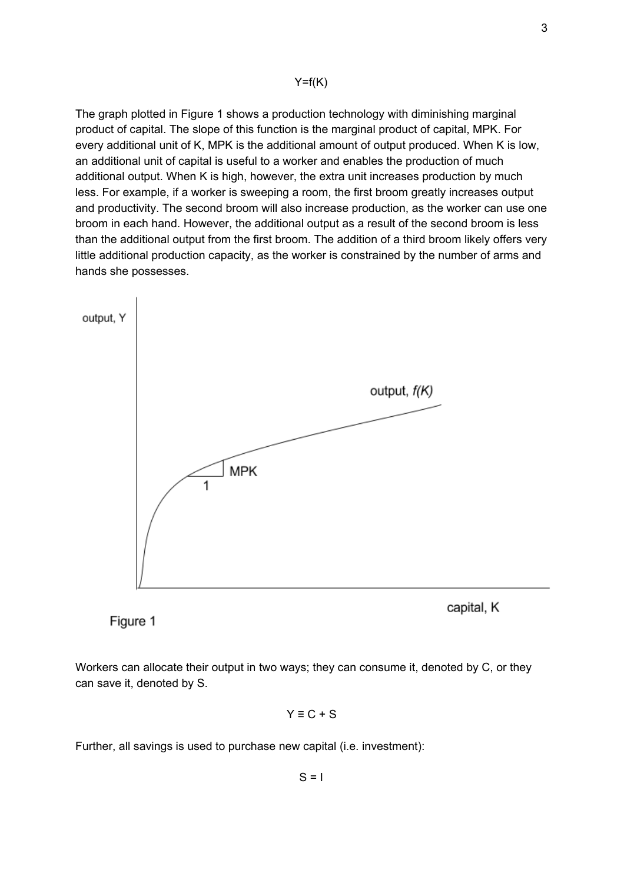#### $Y=f(K)$

The graph plotted in Figure 1 shows a production technology with diminishing marginal product of capital. The slope of this function is the marginal product of capital, MPK. For every additional unit of K, MPK is the additional amount of output produced. When K is low, an additional unit of capital is useful to a worker and enables the production of much additional output. When K is high, however, the extra unit increases production by much less. For example, if a worker is sweeping a room, the first broom greatly increases output and productivity. The second broom will also increase production, as the worker can use one broom in each hand. However, the additional output as a result of the second broom is less than the additional output from the first broom. The addition of a third broom likely offers very little additional production capacity, as the worker is constrained by the number of arms and hands she possesses.



Figure 1

Workers can allocate their output in two ways; they can consume it, denoted by C, or they can save it, denoted by S.

$$
Y \equiv C + S
$$

Further, all savings is used to purchase new capital (i.e. investment):

$$
S = I
$$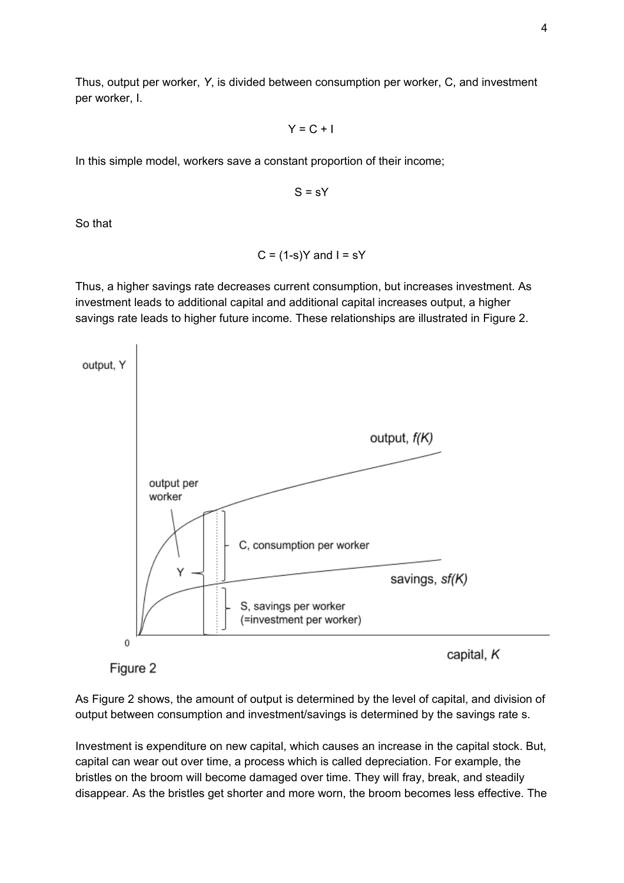Thus, output per worker, *Y*, is divided between consumption per worker, C, and investment per worker, I.

 $Y = C + I$ 

In this simple model, workers save a constant proportion of their income;

$$
S = sY
$$

So that

$$
C = (1-s)Y
$$
 and  $I = sY$ 

Thus, a higher savings rate decreases current consumption, but increases investment. As investment leads to additional capital and additional capital increases output, a higher savings rate leads to higher future income. These relationships are illustrated in Figure 2.



Figure 2

As Figure 2 shows, the amount of output is determined by the level of capital, and division of output between consumption and investment/savings is determined by the savings rate s.

Investment is expenditure on new capital, which causes an increase in the capital stock. But, capital can wear out over time, a process which is called depreciation. For example, the bristles on the broom will become damaged over time. They will fray, break, and steadily disappear. As the bristles get shorter and more worn, the broom becomes less effective. The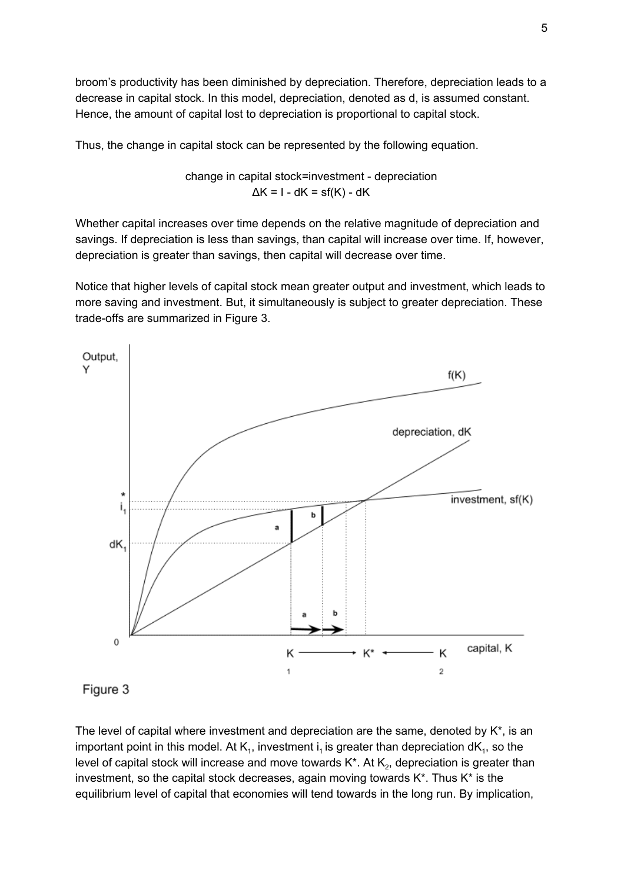broom's productivity has been diminished by depreciation. Therefore, depreciation leads to a decrease in capital stock. In this model, depreciation, denoted as d, is assumed constant. Hence, the amount of capital lost to depreciation is proportional to capital stock.

Thus, the change in capital stock can be represented by the following equation.

change in capital stock=investment - depreciation  $\Delta K = I - dK = sf(K) - dK$ 

Whether capital increases over time depends on the relative magnitude of depreciation and savings. If depreciation is less than savings, than capital will increase over time. If, however, depreciation is greater than savings, then capital will decrease over time.

Notice that higher levels of capital stock mean greater output and investment, which leads to more saving and investment. But, it simultaneously is subject to greater depreciation. These trade-offs are summarized in Figure 3.



Figure 3

The level of capital where investment and depreciation are the same, denoted by K\*, is an important point in this model. At  $\mathsf{K}_{\scriptscriptstyle \sf 1}$ , investment i<sub>1</sub> is greater than depreciation d $\mathsf{K}_{\scriptscriptstyle \sf 1}$ , so the level of capital stock will increase and move towards K\*. At  $\mathsf{K}_2$ , depreciation is greater than investment, so the capital stock decreases, again moving towards K\*. Thus K\* is the equilibrium level of capital that economies will tend towards in the long run. By implication,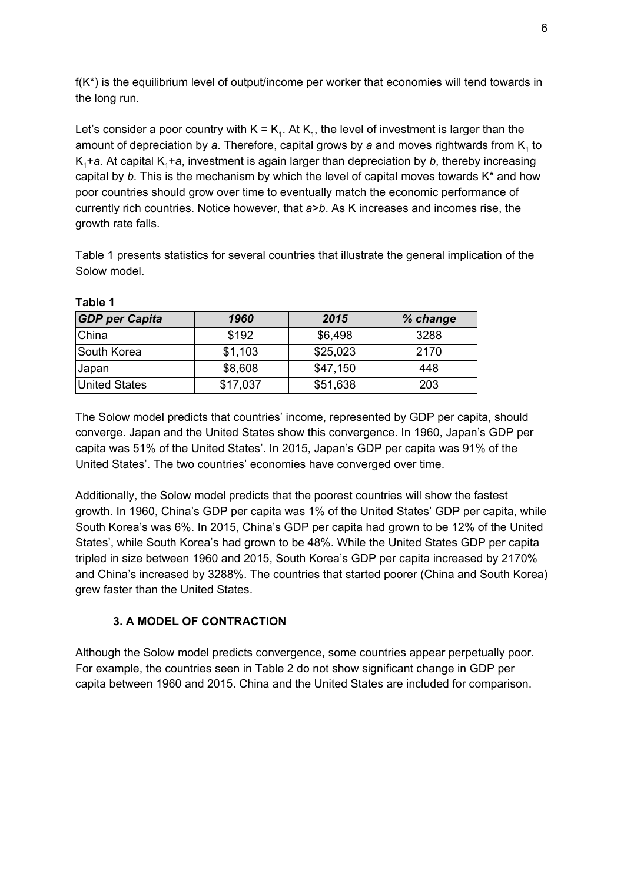$f(K^*)$  is the equilibrium level of output/income per worker that economies will tend towards in the long run.

Let's consider a poor country with  $K = K_1$ . At  $K_1$ , the level of investment is larger than the amount of depreciation by *a*. Therefore, capital grows by *a* and moves rightwards from K<sub>1</sub> to  $K<sub>1</sub>$ +a. At capital  $K<sub>1</sub>$ +a, investment is again larger than depreciation by *b*, thereby increasing capital by *b.* This is the mechanism by which the level of capital moves towards K\* and how poor countries should grow over time to eventually match the economic performance of currently rich countries. Notice however, that *a*>*b*. As K increases and incomes rise, the growth rate falls.

Table 1 presents statistics for several countries that illustrate the general implication of the Solow model.

| <b>GDP</b> per Capita | 1960     | 2015     | % change |
|-----------------------|----------|----------|----------|
| China                 | \$192    | \$6,498  | 3288     |
| South Korea           | \$1,103  | \$25,023 | 2170     |
| <b>Japan</b>          | \$8,608  | \$47,150 | 448      |
| <b>United States</b>  | \$17,037 | \$51,638 | 203      |

**Table 1**

The Solow model predicts that countries' income, represented by GDP per capita, should converge. Japan and the United States show this convergence. In 1960, Japan's GDP per capita was 51% of the United States'. In 2015, Japan's GDP per capita was 91% of the United States'. The two countries' economies have converged over time.

Additionally, the Solow model predicts that the poorest countries will show the fastest growth. In 1960, China's GDP per capita was 1% of the United States' GDP per capita, while South Korea's was 6%. In 2015, China's GDP per capita had grown to be 12% of the United States', while South Korea's had grown to be 48%. While the United States GDP per capita tripled in size between 1960 and 2015, South Korea's GDP per capita increased by 2170% and China's increased by 3288%. The countries that started poorer (China and South Korea) grew faster than the United States.

## **3. A MODEL OF CONTRACTION**

Although the Solow model predicts convergence, some countries appear perpetually poor. For example, the countries seen in Table 2 do not show significant change in GDP per capita between 1960 and 2015. China and the United States are included for comparison.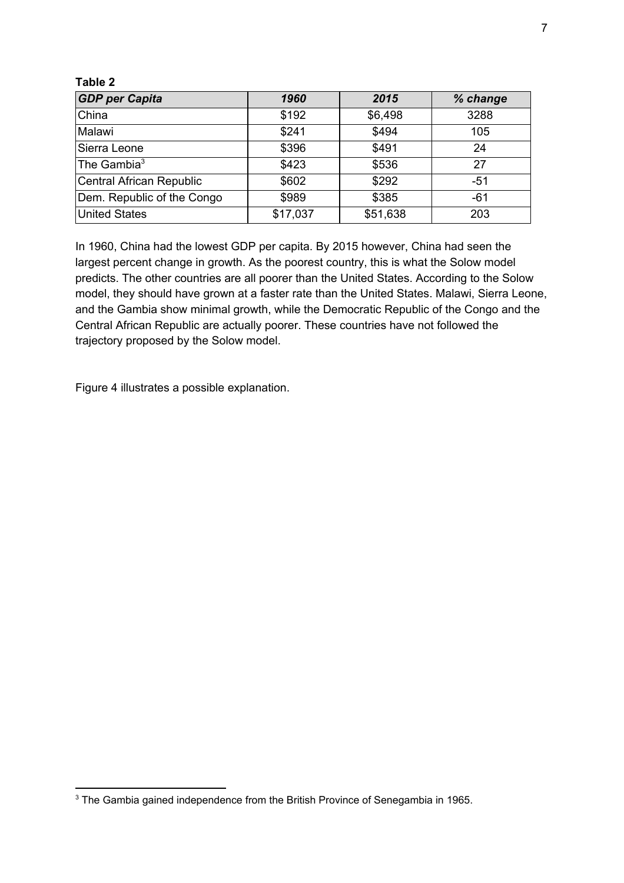#### **Table 2**

| <b>GDP</b> per Capita      | 1960     | 2015     | % change |
|----------------------------|----------|----------|----------|
| China                      | \$192    | \$6,498  | 3288     |
| Malawi                     | \$241    | \$494    | 105      |
| Sierra Leone               | \$396    | \$491    | 24       |
| The Gambia $3$             | \$423    | \$536    | 27       |
| Central African Republic   | \$602    | \$292    | $-51$    |
| Dem. Republic of the Congo | \$989    | \$385    | $-61$    |
| <b>United States</b>       | \$17,037 | \$51,638 | 203      |

In 1960, China had the lowest GDP per capita. By 2015 however, China had seen the largest percent change in growth. As the poorest country, this is what the Solow model predicts. The other countries are all poorer than the United States. According to the Solow model, they should have grown at a faster rate than the United States. Malawi, Sierra Leone, and the Gambia show minimal growth, while the Democratic Republic of the Congo and the Central African Republic are actually poorer. These countries have not followed the trajectory proposed by the Solow model.

Figure 4 illustrates a possible explanation.

<sup>&</sup>lt;sup>3</sup> The Gambia gained independence from the British Province of Senegambia in 1965.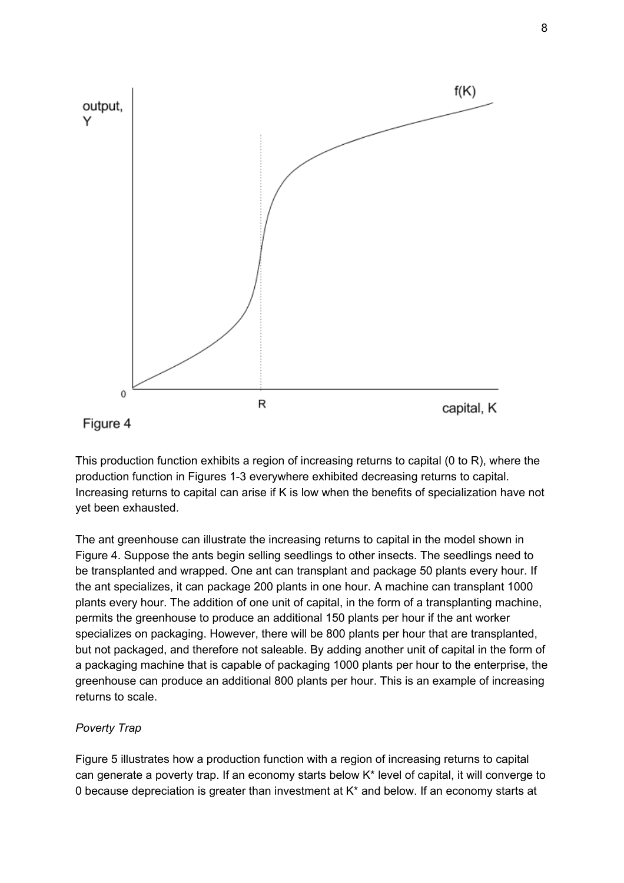

This production function exhibits a region of increasing returns to capital (0 to R), where the production function in Figures 1-3 everywhere exhibited decreasing returns to capital. Increasing returns to capital can arise if K is low when the benefits of specialization have not yet been exhausted.

The ant greenhouse can illustrate the increasing returns to capital in the model shown in Figure 4. Suppose the ants begin selling seedlings to other insects. The seedlings need to be transplanted and wrapped. One ant can transplant and package 50 plants every hour. If the ant specializes, it can package 200 plants in one hour. A machine can transplant 1000 plants every hour. The addition of one unit of capital, in the form of a transplanting machine, permits the greenhouse to produce an additional 150 plants per hour if the ant worker specializes on packaging. However, there will be 800 plants per hour that are transplanted, but not packaged, and therefore not saleable. By adding another unit of capital in the form of a packaging machine that is capable of packaging 1000 plants per hour to the enterprise, the greenhouse can produce an additional 800 plants per hour. This is an example of increasing returns to scale.

## *Poverty Trap*

Figure 5 illustrates how a production function with a region of increasing returns to capital can generate a poverty trap. If an economy starts below K\* level of capital, it will converge to 0 because depreciation is greater than investment at K\* and below. If an economy starts at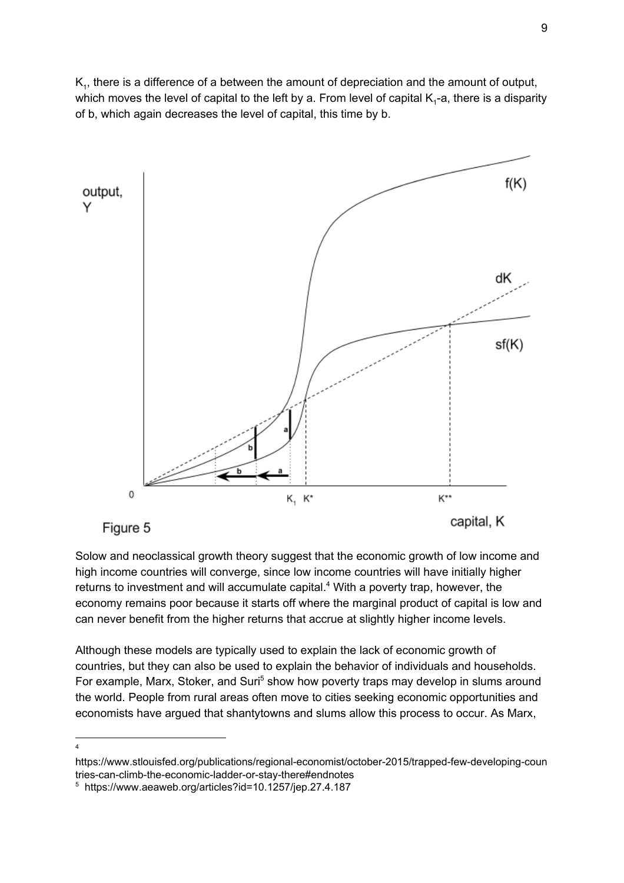$\mathsf{K}_1$ , there is a difference of a between the amount of depreciation and the amount of output, which moves the level of capital to the left by a. From level of capital K<sub>1</sub>-a, there is a disparity of b, which again decreases the level of capital, this time by b.



Solow and neoclassical growth theory suggest that the economic growth of low income and high income countries will converge, since low income countries will have initially higher returns to investment and will accumulate capital.<sup>4</sup> With a poverty trap, however, the economy remains poor because it starts off where the marginal product of capital is low and can never benefit from the higher returns that accrue at slightly higher income levels.

Although these models are typically used to explain the lack of economic growth of countries, but they can also be used to explain the behavior of individuals and households. For example, Marx, Stoker, and Suri<sup>5</sup> show how poverty traps may develop in slums around the world. People from rural areas often move to cities seeking economic opportunities and economists have argued that shantytowns and slums allow this process to occur. As Marx,

<sup>4</sup>

https://www.stlouisfed.org/publications/regional-economist/october-2015/trapped-few-developing-coun tries-can-climb-the-economic-ladder-or-stay-there#endnotes

<sup>5</sup> https://www.aeaweb.org/articles?id=10.1257/jep.27.4.187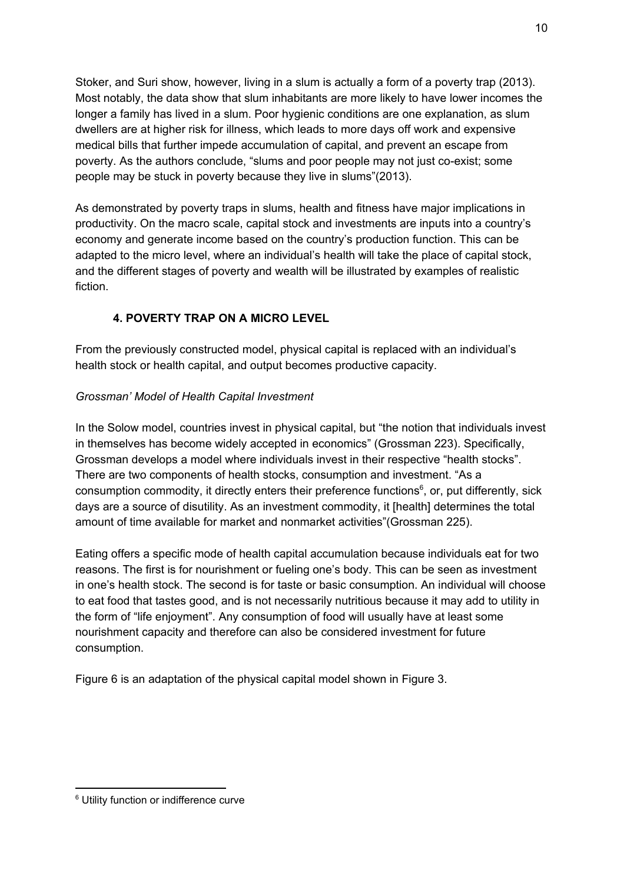Stoker, and Suri show, however, living in a slum is actually a form of a poverty trap (2013). Most notably, the data show that slum inhabitants are more likely to have lower incomes the longer a family has lived in a slum. Poor hygienic conditions are one explanation, as slum dwellers are at higher risk for illness, which leads to more days off work and expensive medical bills that further impede accumulation of capital, and prevent an escape from poverty. As the authors conclude, "slums and poor people may not just co-exist; some people may be stuck in poverty because they live in slums"(2013).

As demonstrated by poverty traps in slums, health and fitness have major implications in productivity. On the macro scale, capital stock and investments are inputs into a country's economy and generate income based on the country's production function. This can be adapted to the micro level, where an individual's health will take the place of capital stock, and the different stages of poverty and wealth will be illustrated by examples of realistic fiction.

## **4. POVERTY TRAP ON A MICRO LEVEL**

From the previously constructed model, physical capital is replaced with an individual's health stock or health capital, and output becomes productive capacity.

## *Grossman' Model of Health Capital Investment*

In the Solow model, countries invest in physical capital, but "the notion that individuals invest in themselves has become widely accepted in economics" (Grossman 223). Specifically, Grossman develops a model where individuals invest in their respective "health stocks". There are two components of health stocks, consumption and investment. "As a consumption commodity, it directly enters their preference functions<sup>6</sup>, or, put differently, sick days are a source of disutility. As an investment commodity, it [health] determines the total amount of time available for market and nonmarket activities"(Grossman 225).

Eating offers a specific mode of health capital accumulation because individuals eat for two reasons. The first is for nourishment or fueling one's body. This can be seen as investment in one's health stock. The second is for taste or basic consumption. An individual will choose to eat food that tastes good, and is not necessarily nutritious because it may add to utility in the form of "life enjoyment". Any consumption of food will usually have at least some nourishment capacity and therefore can also be considered investment for future consumption.

Figure 6 is an adaptation of the physical capital model shown in Figure 3.

<sup>6</sup> Utility function or indifference curve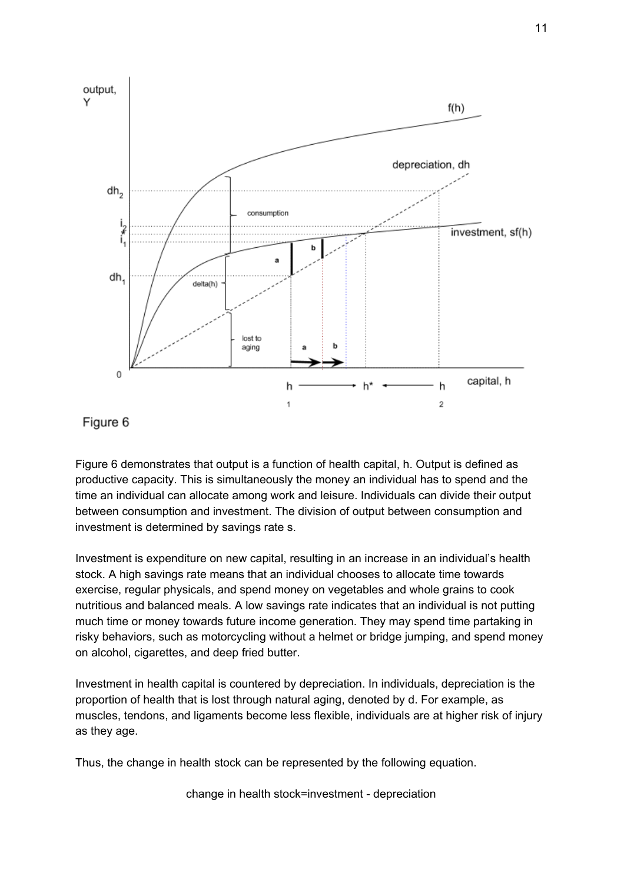

Figure 6

Figure 6 demonstrates that output is a function of health capital, h. Output is defined as productive capacity. This is simultaneously the money an individual has to spend and the time an individual can allocate among work and leisure. Individuals can divide their output between consumption and investment. The division of output between consumption and investment is determined by savings rate s.

Investment is expenditure on new capital, resulting in an increase in an individual's health stock. A high savings rate means that an individual chooses to allocate time towards exercise, regular physicals, and spend money on vegetables and whole grains to cook nutritious and balanced meals. A low savings rate indicates that an individual is not putting much time or money towards future income generation. They may spend time partaking in risky behaviors, such as motorcycling without a helmet or bridge jumping, and spend money on alcohol, cigarettes, and deep fried butter.

Investment in health capital is countered by depreciation. In individuals, depreciation is the proportion of health that is lost through natural aging, denoted by d. For example, as muscles, tendons, and ligaments become less flexible, individuals are at higher risk of injury as they age.

Thus, the change in health stock can be represented by the following equation.

change in health stock=investment - depreciation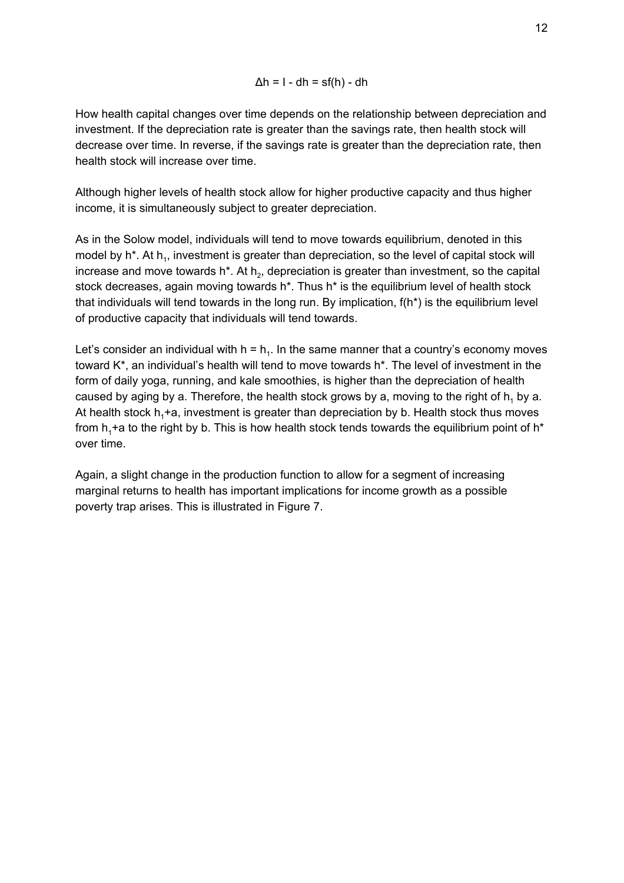$$
\Delta h = I - dh = sf(h) - dh
$$

How health capital changes over time depends on the relationship between depreciation and investment. If the depreciation rate is greater than the savings rate, then health stock will decrease over time. In reverse, if the savings rate is greater than the depreciation rate, then health stock will increase over time.

Although higher levels of health stock allow for higher productive capacity and thus higher income, it is simultaneously subject to greater depreciation.

As in the Solow model, individuals will tend to move towards equilibrium, denoted in this model by h<sup>\*</sup>. At h<sub>1</sub>, investment is greater than depreciation, so the level of capital stock will increase and move towards h\*. At h<sub>2</sub>, depreciation is greater than investment, so the capital stock decreases, again moving towards h\*. Thus h\* is the equilibrium level of health stock that individuals will tend towards in the long run. By implication, f(h\*) is the equilibrium level of productive capacity that individuals will tend towards.

Let's consider an individual with  $h = h_1$ . In the same manner that a country's economy moves toward K\*, an individual's health will tend to move towards h\*. The level of investment in the form of daily yoga, running, and kale smoothies, is higher than the depreciation of health caused by aging by a. Therefore, the health stock grows by a, moving to the right of  $h_1$  by a. At health stock  $h_1 + a$ , investment is greater than depreciation by b. Health stock thus moves from  $h_1$ +a to the right by b. This is how health stock tends towards the equilibrium point of  $h^*$ over time.

Again, a slight change in the production function to allow for a segment of increasing marginal returns to health has important implications for income growth as a possible poverty trap arises. This is illustrated in Figure 7.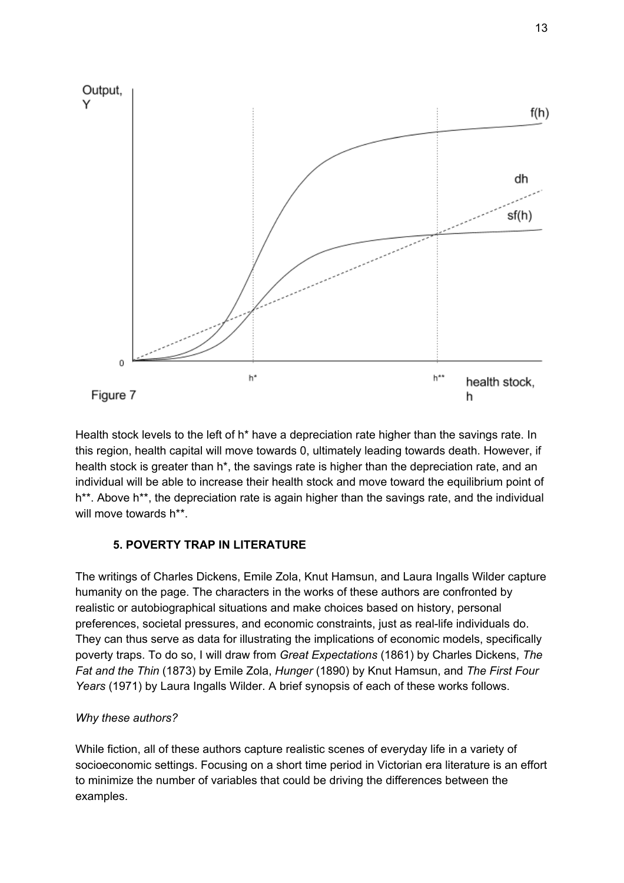

Health stock levels to the left of h<sup>\*</sup> have a depreciation rate higher than the savings rate. In this region, health capital will move towards 0, ultimately leading towards death. However, if health stock is greater than h<sup>\*</sup>, the savings rate is higher than the depreciation rate, and an individual will be able to increase their health stock and move toward the equilibrium point of h<sup>\*\*</sup>. Above h<sup>\*\*</sup>, the depreciation rate is again higher than the savings rate, and the individual will move towards h\*\*.

## **5. POVERTY TRAP IN LITERATURE**

The writings of Charles Dickens, Emile Zola, Knut Hamsun, and Laura Ingalls Wilder capture humanity on the page. The characters in the works of these authors are confronted by realistic or autobiographical situations and make choices based on history, personal preferences, societal pressures, and economic constraints, just as real-life individuals do. They can thus serve as data for illustrating the implications of economic models, specifically poverty traps. To do so, I will draw from *Great Expectations* (1861) by Charles Dickens, *The Fat and the Thin* (1873) by Emile Zola, *Hunger* (1890) by Knut Hamsun, and *The First Four Years* (1971) by Laura Ingalls Wilder. A brief synopsis of each of these works follows.

## *Why these authors?*

While fiction, all of these authors capture realistic scenes of everyday life in a variety of socioeconomic settings. Focusing on a short time period in Victorian era literature is an effort to minimize the number of variables that could be driving the differences between the examples.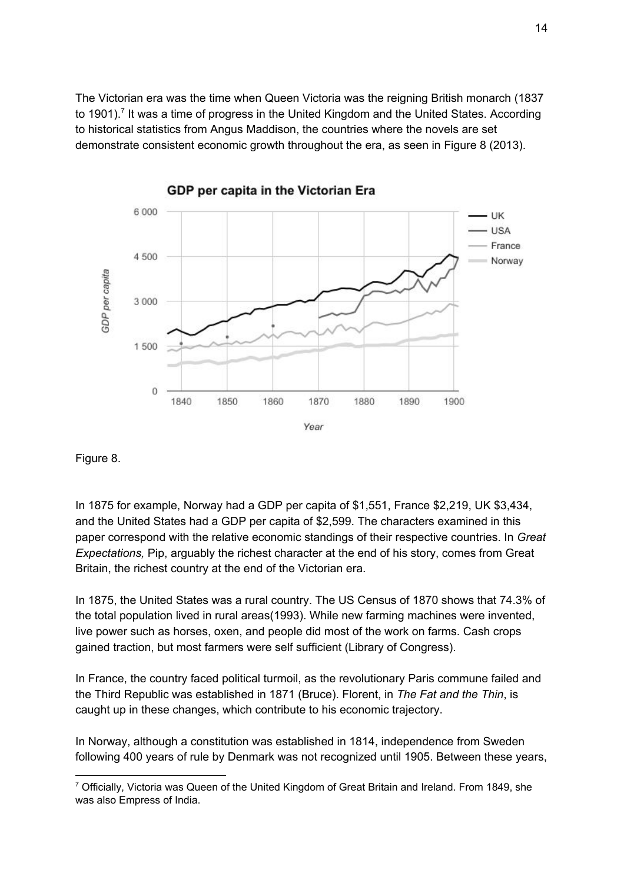The Victorian era was the time when Queen Victoria was the reigning British monarch (1837 to 1901).<sup>7</sup> It was a time of progress in the United Kingdom and the United States. According to historical statistics from Angus Maddison, the countries where the novels are set demonstrate consistent economic growth throughout the era, as seen in Figure 8 (2013).



GDP per capita in the Victorian Era

Figure 8.

In 1875 for example, Norway had a GDP per capita of \$1,551, France \$2,219, UK \$3,434, and the United States had a GDP per capita of \$2,599. The characters examined in this paper correspond with the relative economic standings of their respective countries. In *Great Expectations,* Pip, arguably the richest character at the end of his story, comes from Great Britain, the richest country at the end of the Victorian era.

In 1875, the United States was a rural country. The US Census of 1870 shows that 74.3% of the total population lived in rural areas(1993). While new farming machines were invented, live power such as horses, oxen, and people did most of the work on farms. Cash crops gained traction, but most farmers were self sufficient (Library of Congress).

In France, the country faced political turmoil, as the revolutionary Paris commune failed and the Third Republic was established in 1871 (Bruce). Florent, in *The Fat and the Thin*, is caught up in these changes, which contribute to his economic trajectory.

In Norway, although a constitution was established in 1814, independence from Sweden following 400 years of rule by Denmark was not recognized until 1905. Between these years,

 $7$  Officially, Victoria was Queen of the United Kingdom of Great Britain and Ireland. From 1849, she was also Empress of India.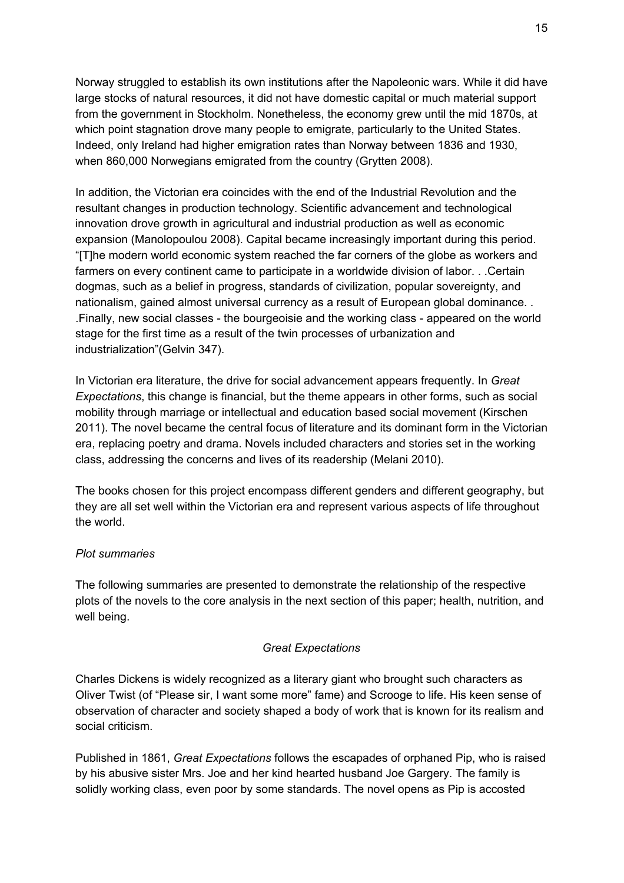Norway struggled to establish its own institutions after the Napoleonic wars. While it did have large stocks of natural resources, it did not have domestic capital or much material support from the government in Stockholm. Nonetheless, the economy grew until the mid 1870s, at which point stagnation drove many people to emigrate, particularly to the United States. Indeed, only Ireland had higher emigration rates than Norway between 1836 and 1930, when 860,000 Norwegians emigrated from the country (Grytten 2008).

In addition, the Victorian era coincides with the end of the Industrial Revolution and the resultant changes in production technology. Scientific advancement and technological innovation drove growth in agricultural and industrial production as well as economic expansion (Manolopoulou 2008). Capital became increasingly important during this period. "[T]he modern world economic system reached the far corners of the globe as workers and farmers on every continent came to participate in a worldwide division of labor. . .Certain dogmas, such as a belief in progress, standards of civilization, popular sovereignty, and nationalism, gained almost universal currency as a result of European global dominance. . .Finally, new social classes - the bourgeoisie and the working class - appeared on the world stage for the first time as a result of the twin processes of urbanization and industrialization"(Gelvin 347).

In Victorian era literature, the drive for social advancement appears frequently. In *Great Expectations*, this change is financial, but the theme appears in other forms, such as social mobility through marriage or intellectual and education based social movement (Kirschen 2011). The novel became the central focus of literature and its dominant form in the Victorian era, replacing poetry and drama. Novels included characters and stories set in the working class, addressing the concerns and lives of its readership (Melani 2010).

The books chosen for this project encompass different genders and different geography, but they are all set well within the Victorian era and represent various aspects of life throughout the world.

## *Plot summaries*

The following summaries are presented to demonstrate the relationship of the respective plots of the novels to the core analysis in the next section of this paper; health, nutrition, and well being.

## *Great Expectations*

Charles Dickens is widely recognized as a literary giant who brought such characters as Oliver Twist (of "Please sir, I want some more" fame) and Scrooge to life. His keen sense of observation of character and society shaped a body of work that is known for its realism and social criticism.

Published in 1861, *Great Expectations* follows the escapades of orphaned Pip, who is raised by his abusive sister Mrs. Joe and her kind hearted husband Joe Gargery. The family is solidly working class, even poor by some standards. The novel opens as Pip is accosted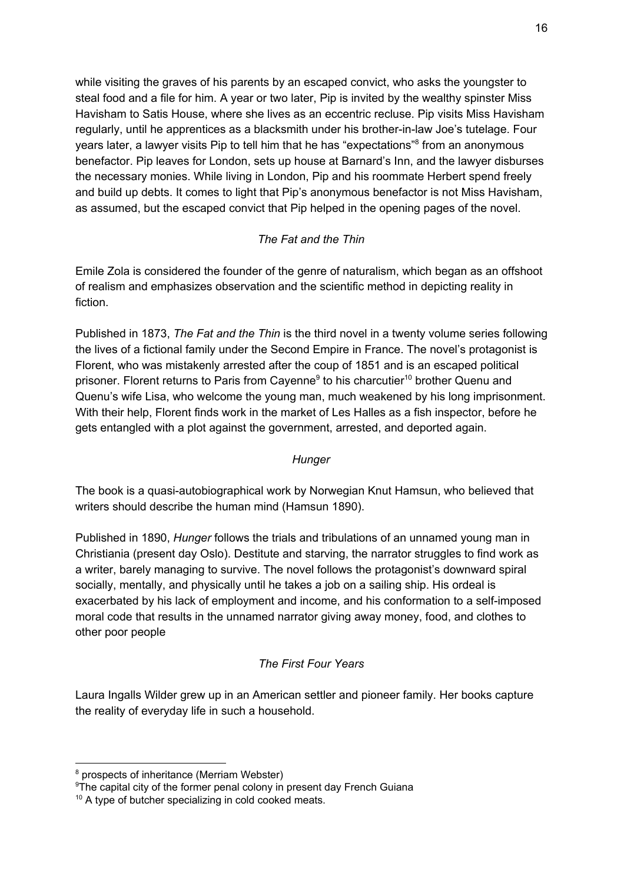while visiting the graves of his parents by an escaped convict, who asks the youngster to steal food and a file for him. A year or two later, Pip is invited by the wealthy spinster Miss Havisham to Satis House, where she lives as an eccentric recluse. Pip visits Miss Havisham regularly, until he apprentices as a blacksmith under his brother-in-law Joe's tutelage. Four years later, a lawyer visits Pip to tell him that he has "expectations"<sup>8</sup> from an anonymous benefactor. Pip leaves for London, sets up house at Barnard's Inn, and the lawyer disburses the necessary monies. While living in London, Pip and his roommate Herbert spend freely and build up debts. It comes to light that Pip's anonymous benefactor is not Miss Havisham, as assumed, but the escaped convict that Pip helped in the opening pages of the novel.

## *The Fat and the Thin*

Emile Zola is considered the founder of the genre of naturalism, which began as an offshoot of realism and emphasizes observation and the scientific method in depicting reality in fiction.

Published in 1873, *The Fat and the Thin* is the third novel in a twenty volume series following the lives of a fictional family under the Second Empire in France. The novel's protagonist is Florent, who was mistakenly arrested after the coup of 1851 and is an escaped political prisoner. Florent returns to Paris from Cayenne<sup>9</sup> to his charcutier<sup>10</sup> brother Quenu and Quenu's wife Lisa, who welcome the young man, much weakened by his long imprisonment. With their help, Florent finds work in the market of Les Halles as a fish inspector, before he gets entangled with a plot against the government, arrested, and deported again.

## *Hunger*

The book is a quasi-autobiographical work by Norwegian Knut Hamsun, who believed that writers should describe the human mind (Hamsun 1890).

Published in 1890, *Hunger* follows the trials and tribulations of an unnamed young man in Christiania (present day Oslo). Destitute and starving, the narrator struggles to find work as a writer, barely managing to survive. The novel follows the protagonist's downward spiral socially, mentally, and physically until he takes a job on a sailing ship. His ordeal is exacerbated by his lack of employment and income, and his conformation to a self-imposed moral code that results in the unnamed narrator giving away money, food, and clothes to other poor people

## *The First Four Years*

Laura Ingalls Wilder grew up in an American settler and pioneer family. Her books capture the reality of everyday life in such a household.

<sup>&</sup>lt;sup>8</sup> prospects of inheritance (Merriam Webster)

<sup>&</sup>lt;sup>9</sup>The capital city of the former penal colony in present day French Guiana

<sup>&</sup>lt;sup>10</sup> A type of butcher specializing in cold cooked meats.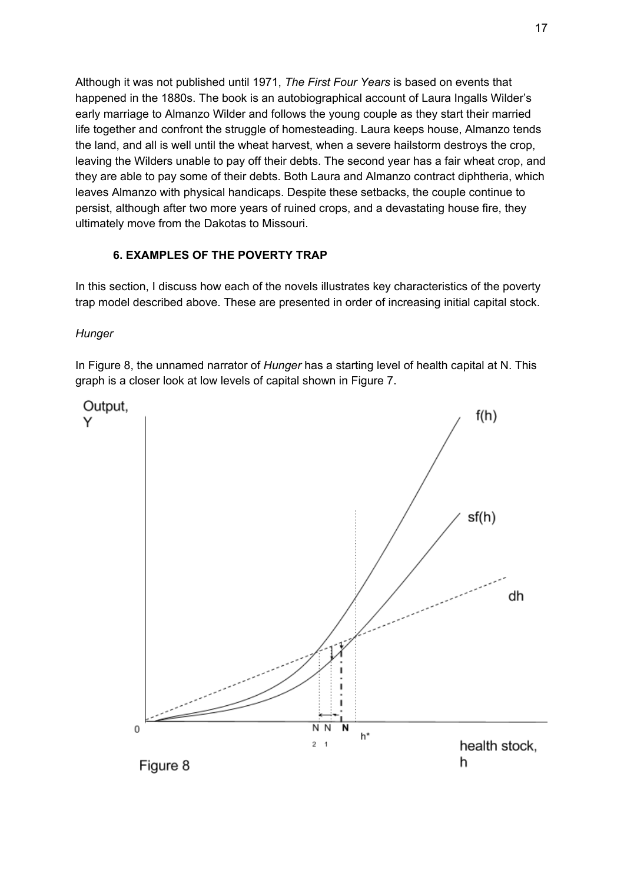Although it was not published until 1971, *The First Four Years* is based on events that happened in the 1880s. The book is an autobiographical account of Laura Ingalls Wilder's early marriage to Almanzo Wilder and follows the young couple as they start their married life together and confront the struggle of homesteading. Laura keeps house, Almanzo tends the land, and all is well until the wheat harvest, when a severe hailstorm destroys the crop, leaving the Wilders unable to pay off their debts. The second year has a fair wheat crop, and they are able to pay some of their debts. Both Laura and Almanzo contract diphtheria, which leaves Almanzo with physical handicaps. Despite these setbacks, the couple continue to persist, although after two more years of ruined crops, and a devastating house fire, they ultimately move from the Dakotas to Missouri.

## **6. EXAMPLES OF THE POVERTY TRAP**

In this section, I discuss how each of the novels illustrates key characteristics of the poverty trap model described above. These are presented in order of increasing initial capital stock.

*Hunger*

In Figure 8, the unnamed narrator of *Hunger* has a starting level of health capital at N. This graph is a closer look at low levels of capital shown in Figure 7.

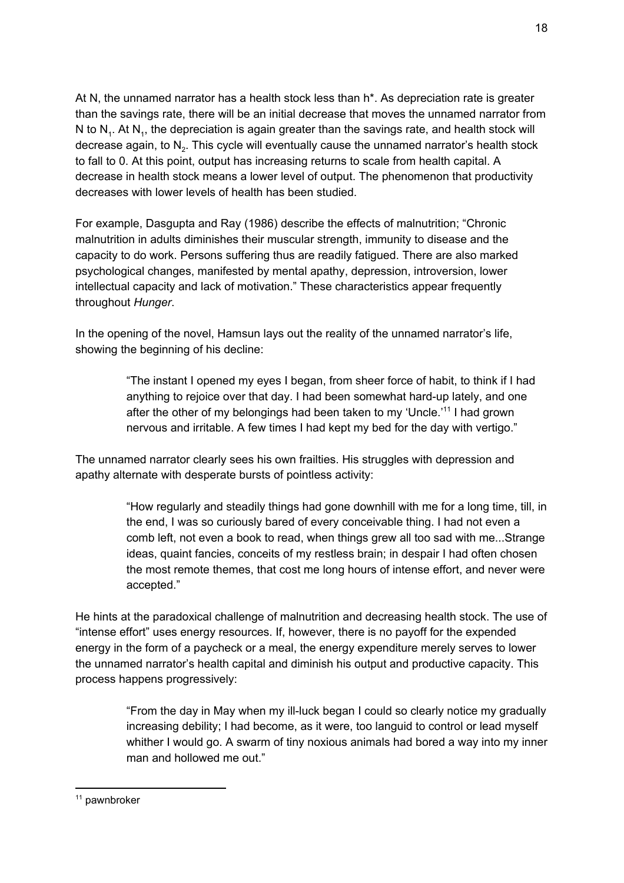At N, the unnamed narrator has a health stock less than h\*. As depreciation rate is greater than the savings rate, there will be an initial decrease that moves the unnamed narrator from N to  $N_1$ . At  $N_4$ , the depreciation is again greater than the savings rate, and health stock will decrease again, to N<sub>2</sub>. This cycle will eventually cause the unnamed narrator's health stock to fall to 0. At this point, output has increasing returns to scale from health capital. A decrease in health stock means a lower level of output. The phenomenon that productivity decreases with lower levels of health has been studied.

For example, Dasgupta and Ray (1986) describe the effects of malnutrition; "Chronic malnutrition in adults diminishes their muscular strength, immunity to disease and the capacity to do work. Persons suffering thus are readily fatigued. There are also marked psychological changes, manifested by mental apathy, depression, introversion, lower intellectual capacity and lack of motivation." These characteristics appear frequently throughout *Hunger*.

In the opening of the novel, Hamsun lays out the reality of the unnamed narrator's life, showing the beginning of his decline:

> "The instant I opened my eyes I began, from sheer force of habit, to think if I had anything to rejoice over that day. I had been somewhat hard-up lately, and one after the other of my belongings had been taken to my 'Uncle.'<sup>11</sup> I had grown nervous and irritable. A few times I had kept my bed for the day with vertigo."

The unnamed narrator clearly sees his own frailties. His struggles with depression and apathy alternate with desperate bursts of pointless activity:

> "How regularly and steadily things had gone downhill with me for a long time, till, in the end, I was so curiously bared of every conceivable thing. I had not even a comb left, not even a book to read, when things grew all too sad with me...Strange ideas, quaint fancies, conceits of my restless brain; in despair I had often chosen the most remote themes, that cost me long hours of intense effort, and never were accepted."

He hints at the paradoxical challenge of malnutrition and decreasing health stock. The use of "intense effort" uses energy resources. If, however, there is no payoff for the expended energy in the form of a paycheck or a meal, the energy expenditure merely serves to lower the unnamed narrator's health capital and diminish his output and productive capacity. This process happens progressively:

> "From the day in May when my ill-luck began I could so clearly notice my gradually increasing debility; I had become, as it were, too languid to control or lead myself whither I would go. A swarm of tiny noxious animals had bored a way into my inner man and hollowed me out."

 $11$  pawnbroker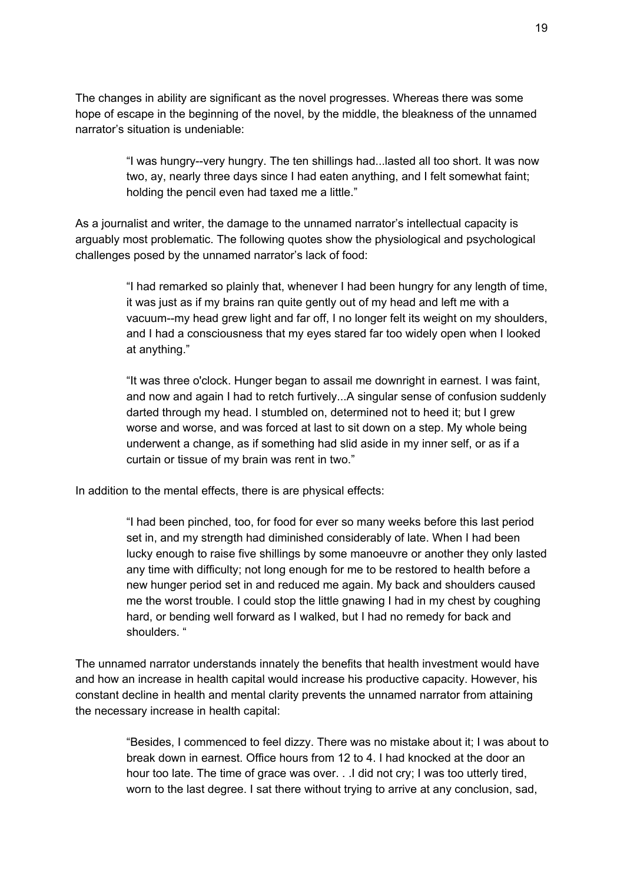The changes in ability are significant as the novel progresses. Whereas there was some hope of escape in the beginning of the novel, by the middle, the bleakness of the unnamed narrator's situation is undeniable:

> "I was hungry--very hungry. The ten shillings had...lasted all too short. It was now two, ay, nearly three days since I had eaten anything, and I felt somewhat faint; holding the pencil even had taxed me a little."

As a journalist and writer, the damage to the unnamed narrator's intellectual capacity is arguably most problematic. The following quotes show the physiological and psychological challenges posed by the unnamed narrator's lack of food:

> "I had remarked so plainly that, whenever I had been hungry for any length of time, it was just as if my brains ran quite gently out of my head and left me with a vacuum--my head grew light and far off, I no longer felt its weight on my shoulders, and I had a consciousness that my eyes stared far too widely open when I looked at anything."

> "It was three o'clock. Hunger began to assail me downright in earnest. I was faint, and now and again I had to retch furtively...A singular sense of confusion suddenly darted through my head. I stumbled on, determined not to heed it; but I grew worse and worse, and was forced at last to sit down on a step. My whole being underwent a change, as if something had slid aside in my inner self, or as if a curtain or tissue of my brain was rent in two."

In addition to the mental effects, there is are physical effects:

"I had been pinched, too, for food for ever so many weeks before this last period set in, and my strength had diminished considerably of late. When I had been lucky enough to raise five shillings by some manoeuvre or another they only lasted any time with difficulty; not long enough for me to be restored to health before a new hunger period set in and reduced me again. My back and shoulders caused me the worst trouble. I could stop the little gnawing I had in my chest by coughing hard, or bending well forward as I walked, but I had no remedy for back and shoulders. "

The unnamed narrator understands innately the benefits that health investment would have and how an increase in health capital would increase his productive capacity. However, his constant decline in health and mental clarity prevents the unnamed narrator from attaining the necessary increase in health capital:

> "Besides, I commenced to feel dizzy. There was no mistake about it; I was about to break down in earnest. Office hours from 12 to 4. I had knocked at the door an hour too late. The time of grace was over. . .I did not cry; I was too utterly tired, worn to the last degree. I sat there without trying to arrive at any conclusion, sad,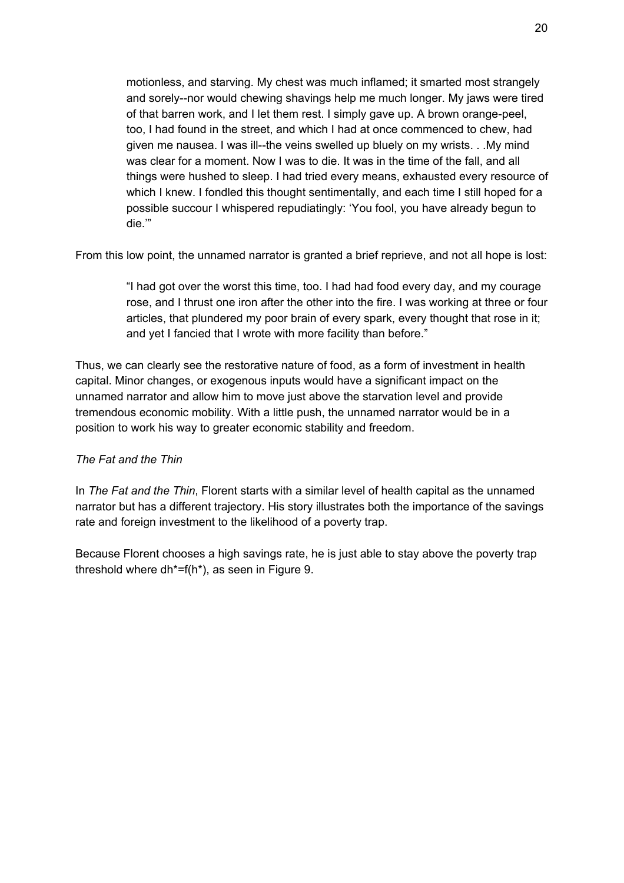motionless, and starving. My chest was much inflamed; it smarted most strangely and sorely--nor would chewing shavings help me much longer. My jaws were tired of that barren work, and I let them rest. I simply gave up. A brown orange-peel, too, I had found in the street, and which I had at once commenced to chew, had given me nausea. I was ill--the veins swelled up bluely on my wrists. . .My mind was clear for a moment. Now I was to die. It was in the time of the fall, and all things were hushed to sleep. I had tried every means, exhausted every resource of which I knew. I fondled this thought sentimentally, and each time I still hoped for a possible succour I whispered repudiatingly: 'You fool, you have already begun to die.'"

From this low point, the unnamed narrator is granted a brief reprieve, and not all hope is lost:

"I had got over the worst this time, too. I had had food every day, and my courage rose, and I thrust one iron after the other into the fire. I was working at three or four articles, that plundered my poor brain of every spark, every thought that rose in it; and yet I fancied that I wrote with more facility than before."

Thus, we can clearly see the restorative nature of food, as a form of investment in health capital. Minor changes, or exogenous inputs would have a significant impact on the unnamed narrator and allow him to move just above the starvation level and provide tremendous economic mobility. With a little push, the unnamed narrator would be in a position to work his way to greater economic stability and freedom.

## *The Fat and the Thin*

In *The Fat and the Thin*, Florent starts with a similar level of health capital as the unnamed narrator but has a different trajectory. His story illustrates both the importance of the savings rate and foreign investment to the likelihood of a poverty trap.

Because Florent chooses a high savings rate, he is just able to stay above the poverty trap threshold where dh\*=f(h\*), as seen in Figure 9.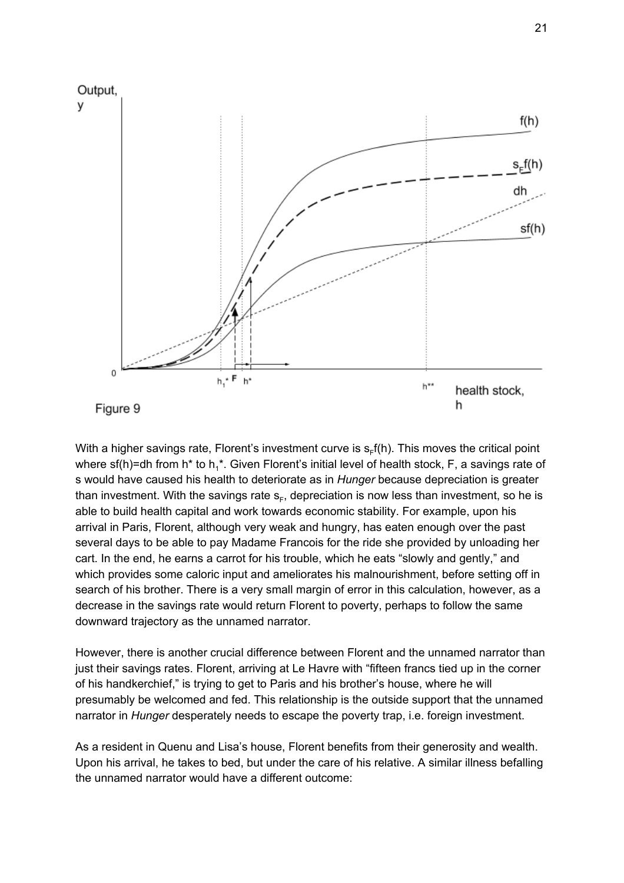

With a higher savings rate, Florent's investment curve is  $s_ff(h)$ . This moves the critical point where sf(h)=dh from h\* to h<sub>1</sub>\*. Given Florent's initial level of health stock, F, a savings rate of s would have caused his health to deteriorate as in *Hunger* because depreciation is greater than investment. With the savings rate  $s_F$ , depreciation is now less than investment, so he is able to build health capital and work towards economic stability. For example, upon his arrival in Paris, Florent, although very weak and hungry, has eaten enough over the past several days to be able to pay Madame Francois for the ride she provided by unloading her cart. In the end, he earns a carrot for his trouble, which he eats "slowly and gently," and which provides some caloric input and ameliorates his malnourishment, before setting off in search of his brother. There is a very small margin of error in this calculation, however, as a decrease in the savings rate would return Florent to poverty, perhaps to follow the same downward trajectory as the unnamed narrator.

However, there is another crucial difference between Florent and the unnamed narrator than just their savings rates. Florent, arriving at Le Havre with "fifteen francs tied up in the corner of his handkerchief," is trying to get to Paris and his brother's house, where he will presumably be welcomed and fed. This relationship is the outside support that the unnamed narrator in *Hunger* desperately needs to escape the poverty trap, i.e. foreign investment.

As a resident in Quenu and Lisa's house, Florent benefits from their generosity and wealth. Upon his arrival, he takes to bed, but under the care of his relative. A similar illness befalling the unnamed narrator would have a different outcome: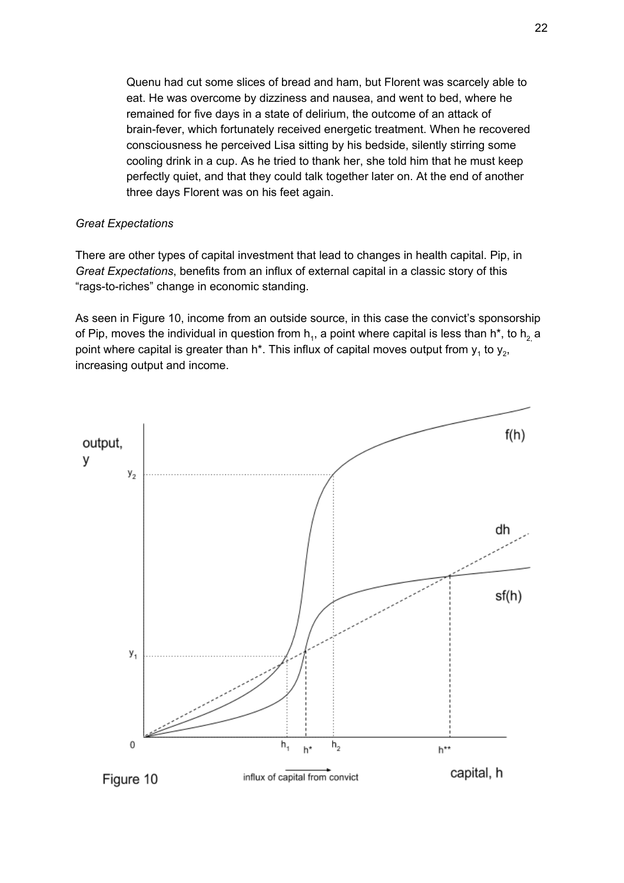Quenu had cut some slices of bread and ham, but Florent was scarcely able to eat. He was overcome by dizziness and nausea, and went to bed, where he remained for five days in a state of delirium, the outcome of an attack of brain-fever, which fortunately received energetic treatment. When he recovered consciousness he perceived Lisa sitting by his bedside, silently stirring some cooling drink in a cup. As he tried to thank her, she told him that he must keep perfectly quiet, and that they could talk together later on. At the end of another three days Florent was on his feet again.

#### *Great Expectations*

There are other types of capital investment that lead to changes in health capital. Pip, in *Great Expectations*, benefits from an influx of external capital in a classic story of this "rags-to-riches" change in economic standing.

As seen in Figure 10, income from an outside source, in this case the convict's sponsorship of Pip, moves the individual in question from  $\mathsf{h}_1$ , a point where capital is less than  $\mathsf{h}^\star$ , to  $\mathsf{h}_2$  a point where capital is greater than h\*. This influx of capital moves output from  $y_1$  to  $y_2$ , increasing output and income.

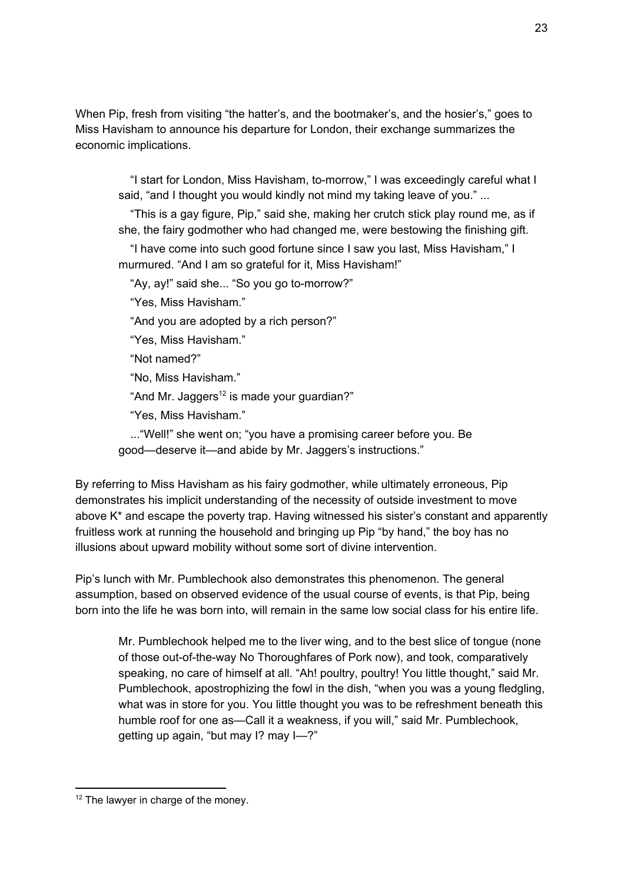When Pip, fresh from visiting "the hatter's, and the bootmaker's, and the hosier's," goes to Miss Havisham to announce his departure for London, their exchange summarizes the economic implications.

"I start for London, Miss Havisham, to-morrow," I was exceedingly careful what I said, "and I thought you would kindly not mind my taking leave of you." ...

"This is a gay figure, Pip," said she, making her crutch stick play round me, as if she, the fairy godmother who had changed me, were bestowing the finishing gift.

"I have come into such good fortune since I saw you last, Miss Havisham," I murmured. "And I am so grateful for it, Miss Havisham!"

"Ay, ay!" said she... "So you go to-morrow?"

"Yes, Miss Havisham."

"And you are adopted by a rich person?"

"Yes, Miss Havisham."

"Not named?"

"No, Miss Havisham."

"And Mr. Jaggers<sup>12</sup> is made your guardian?"

"Yes, Miss Havisham."

..."Well!" she went on; "you have a promising career before you. Be good—deserve it—and abide by Mr. Jaggers's instructions."

By referring to Miss Havisham as his fairy godmother, while ultimately erroneous, Pip demonstrates his implicit understanding of the necessity of outside investment to move above K\* and escape the poverty trap. Having witnessed his sister's constant and apparently fruitless work at running the household and bringing up Pip "by hand," the boy has no illusions about upward mobility without some sort of divine intervention.

Pip's lunch with Mr. Pumblechook also demonstrates this phenomenon. The general assumption, based on observed evidence of the usual course of events, is that Pip, being born into the life he was born into, will remain in the same low social class for his entire life.

Mr. Pumblechook helped me to the liver wing, and to the best slice of tongue (none of those out-of-the-way No Thoroughfares of Pork now), and took, comparatively speaking, no care of himself at all. "Ah! poultry, poultry! You little thought," said Mr. Pumblechook, apostrophizing the fowl in the dish, "when you was a young fledgling, what was in store for you. You little thought you was to be refreshment beneath this humble roof for one as—Call it a weakness, if you will," said Mr. Pumblechook, getting up again, "but may I? may I—?"

<sup>&</sup>lt;sup>12</sup> The lawyer in charge of the money.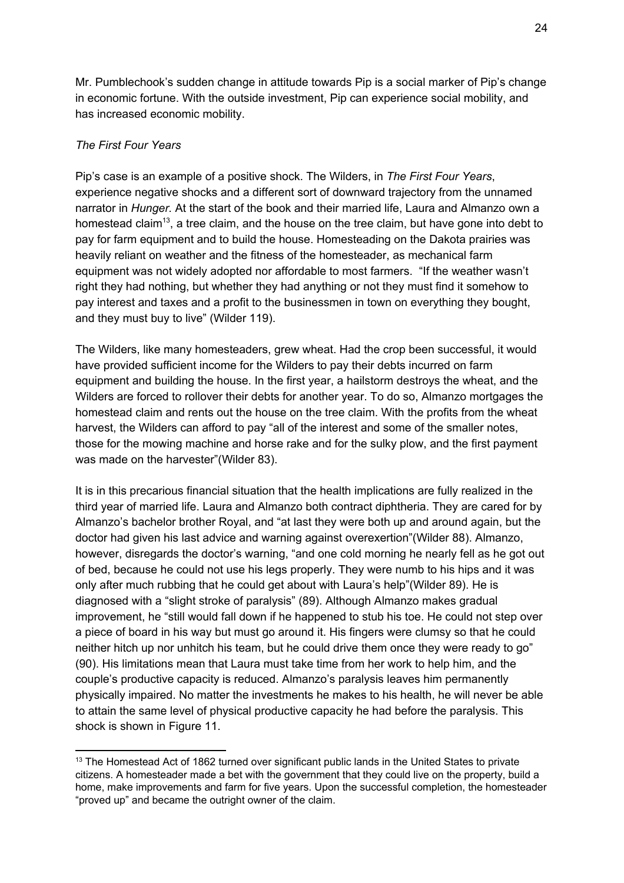Mr. Pumblechook's sudden change in attitude towards Pip is a social marker of Pip's change in economic fortune. With the outside investment, Pip can experience social mobility, and has increased economic mobility.

## *The First Four Years*

Pip's case is an example of a positive shock. The Wilders, in *The First Four Years*, experience negative shocks and a different sort of downward trajectory from the unnamed narrator in *Hunger.* At the start of the book and their married life, Laura and Almanzo own a homestead claim<sup>13</sup>, a tree claim, and the house on the tree claim, but have gone into debt to pay for farm equipment and to build the house. Homesteading on the Dakota prairies was heavily reliant on weather and the fitness of the homesteader, as mechanical farm equipment was not widely adopted nor affordable to most farmers. "If the weather wasn't right they had nothing, but whether they had anything or not they must find it somehow to pay interest and taxes and a profit to the businessmen in town on everything they bought, and they must buy to live" (Wilder 119).

The Wilders, like many homesteaders, grew wheat. Had the crop been successful, it would have provided sufficient income for the Wilders to pay their debts incurred on farm equipment and building the house. In the first year, a hailstorm destroys the wheat, and the Wilders are forced to rollover their debts for another year. To do so, Almanzo mortgages the homestead claim and rents out the house on the tree claim. With the profits from the wheat harvest, the Wilders can afford to pay "all of the interest and some of the smaller notes, those for the mowing machine and horse rake and for the sulky plow, and the first payment was made on the harvester"(Wilder 83).

It is in this precarious financial situation that the health implications are fully realized in the third year of married life. Laura and Almanzo both contract diphtheria. They are cared for by Almanzo's bachelor brother Royal, and "at last they were both up and around again, but the doctor had given his last advice and warning against overexertion"(Wilder 88). Almanzo, however, disregards the doctor's warning, "and one cold morning he nearly fell as he got out of bed, because he could not use his legs properly. They were numb to his hips and it was only after much rubbing that he could get about with Laura's help"(Wilder 89). He is diagnosed with a "slight stroke of paralysis" (89). Although Almanzo makes gradual improvement, he "still would fall down if he happened to stub his toe. He could not step over a piece of board in his way but must go around it. His fingers were clumsy so that he could neither hitch up nor unhitch his team, but he could drive them once they were ready to go" (90). His limitations mean that Laura must take time from her work to help him, and the couple's productive capacity is reduced. Almanzo's paralysis leaves him permanently physically impaired. No matter the investments he makes to his health, he will never be able to attain the same level of physical productive capacity he had before the paralysis. This shock is shown in Figure 11.

<sup>&</sup>lt;sup>13</sup> The Homestead Act of 1862 turned over significant public lands in the United States to private citizens. A homesteader made a bet with the government that they could live on the property, build a home, make improvements and farm for five years. Upon the successful completion, the homesteader "proved up" and became the outright owner of the claim.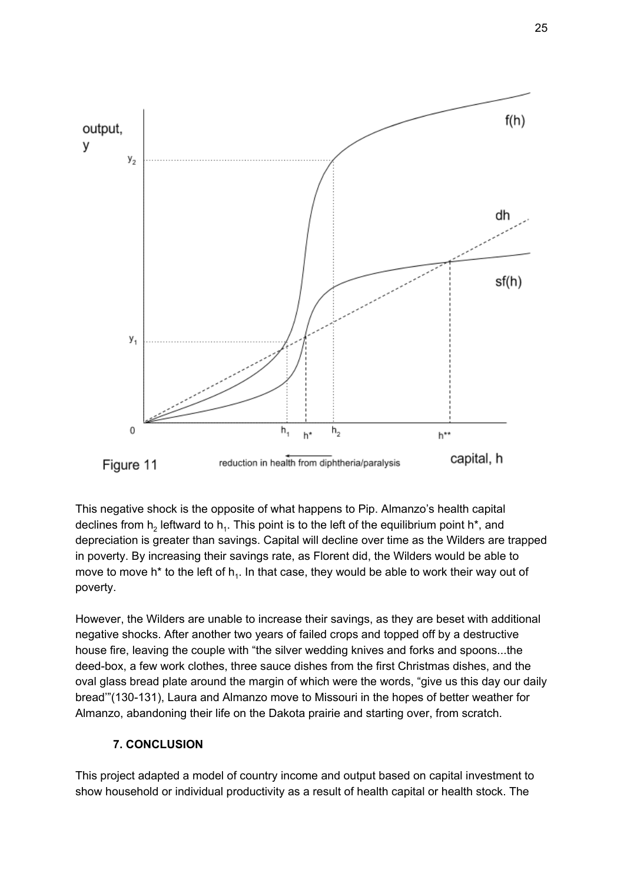

This negative shock is the opposite of what happens to Pip. Almanzo's health capital declines from  $h_2$  leftward to  $h_1$ . This point is to the left of the equilibrium point h\*, and depreciation is greater than savings. Capital will decline over time as the Wilders are trapped in poverty. By increasing their savings rate, as Florent did, the Wilders would be able to move to move h\* to the left of  $h_i$ . In that case, they would be able to work their way out of poverty.

However, the Wilders are unable to increase their savings, as they are beset with additional negative shocks. After another two years of failed crops and topped off by a destructive house fire, leaving the couple with "the silver wedding knives and forks and spoons...the deed-box, a few work clothes, three sauce dishes from the first Christmas dishes, and the oval glass bread plate around the margin of which were the words, "give us this day our daily bread'"(130-131), Laura and Almanzo move to Missouri in the hopes of better weather for Almanzo, abandoning their life on the Dakota prairie and starting over, from scratch.

## **7. CONCLUSION**

This project adapted a model of country income and output based on capital investment to show household or individual productivity as a result of health capital or health stock. The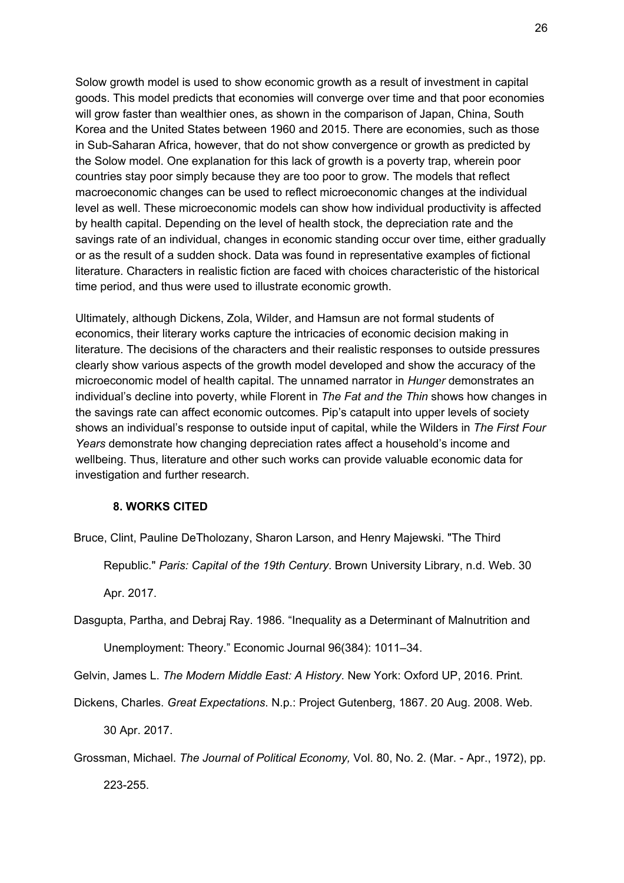Solow growth model is used to show economic growth as a result of investment in capital goods. This model predicts that economies will converge over time and that poor economies will grow faster than wealthier ones, as shown in the comparison of Japan, China, South Korea and the United States between 1960 and 2015. There are economies, such as those in Sub-Saharan Africa, however, that do not show convergence or growth as predicted by the Solow model. One explanation for this lack of growth is a poverty trap, wherein poor countries stay poor simply because they are too poor to grow. The models that reflect macroeconomic changes can be used to reflect microeconomic changes at the individual level as well. These microeconomic models can show how individual productivity is affected by health capital. Depending on the level of health stock, the depreciation rate and the savings rate of an individual, changes in economic standing occur over time, either gradually or as the result of a sudden shock. Data was found in representative examples of fictional literature. Characters in realistic fiction are faced with choices characteristic of the historical time period, and thus were used to illustrate economic growth.

Ultimately, although Dickens, Zola, Wilder, and Hamsun are not formal students of economics, their literary works capture the intricacies of economic decision making in literature. The decisions of the characters and their realistic responses to outside pressures clearly show various aspects of the growth model developed and show the accuracy of the microeconomic model of health capital. The unnamed narrator in *Hunger* demonstrates an individual's decline into poverty, while Florent in *The Fat and the Thin* shows how changes in the savings rate can affect economic outcomes. Pip's catapult into upper levels of society shows an individual's response to outside input of capital, while the Wilders in *The First Four Years* demonstrate how changing depreciation rates affect a household's income and wellbeing. Thus, literature and other such works can provide valuable economic data for investigation and further research.

#### **8. WORKS CITED**

Bruce, Clint, Pauline DeTholozany, Sharon Larson, and Henry Majewski. "The Third

Republic." *Paris: Capital of the 19th Century*. Brown University Library, n.d. Web. 30

Apr. 2017.

Dasgupta, Partha, and Debraj Ray. 1986. "Inequality as a Determinant of Malnutrition and

Unemployment: Theory." Economic Journal 96(384): 1011–34.

Gelvin, James L. *The Modern Middle East: A History*. New York: Oxford UP, 2016. Print.

Dickens, Charles. *Great Expectations*. N.p.: Project Gutenberg, 1867. 20 Aug. 2008. Web.

30 Apr. 2017.

Grossman, Michael. *The Journal of Political Economy,* Vol. 80, No. 2. (Mar. - Apr., 1972), pp.

223-255.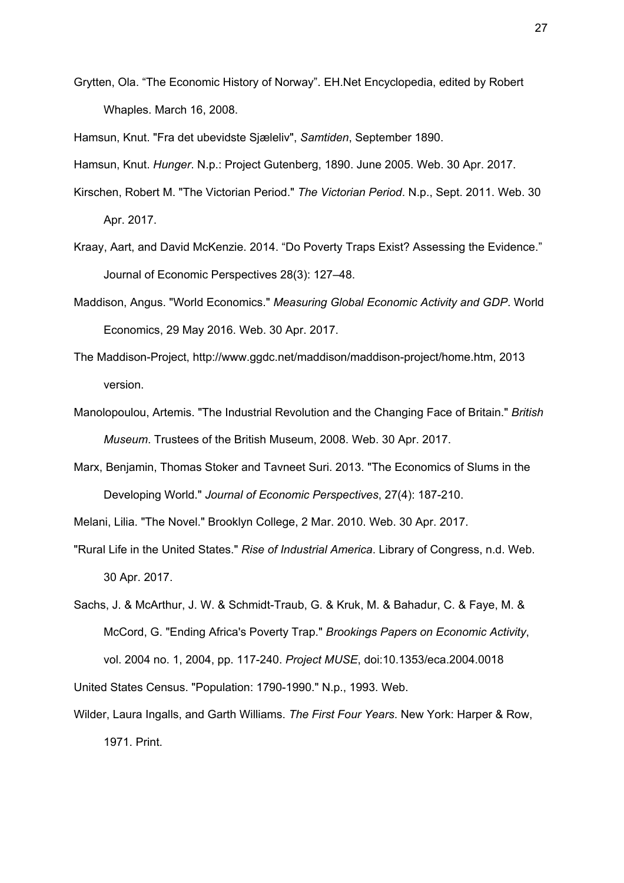Grytten, Ola. "The Economic History of Norway". EH.Net Encyclopedia, edited by Robert Whaples. March 16, 2008.

Hamsun, Knut. "Fra det ubevidste Sjæleliv", *[Samtiden](https://en.wikipedia.org/wiki/Samtiden)*, September 1890.

Hamsun, Knut. *Hunger*. N.p.: Project Gutenberg, 1890. June 2005. Web. 30 Apr. 2017.

- Kirschen, Robert M. "The Victorian Period." *The Victorian Period*. N.p., Sept. 2011. Web. 30 Apr. 2017.
- Kraay, Aart, and David McKenzie. 2014. "Do Poverty Traps Exist? Assessing the Evidence." Journal of Economic Perspectives 28(3): 127–48.
- Maddison, Angus. "World Economics." *Measuring Global Economic Activity and GDP*. World Economics, 29 May 2016. Web. 30 Apr. 2017.
- The Maddison-Project, http://www.ggdc.net/maddison/maddison-project/home.htm, 2013 version.
- Manolopoulou, Artemis. "The Industrial Revolution and the Changing Face of Britain." *British Museum*. Trustees of the British Museum, 2008. Web. 30 Apr. 2017.
- Marx, Benjamin, Thomas Stoker and Tavneet Suri. 2013. "The Economics of Slums in the Developing World." *Journal of Economic Perspectives*, 27(4): 187-210.

Melani, Lilia. "The Novel." Brooklyn College, 2 Mar. 2010. Web. 30 Apr. 2017.

"Rural Life in the United States." *Rise of Industrial America*. Library of Congress, n.d. Web. 30 Apr. 2017.

Sachs, J. & McArthur, J. W. & Schmidt-Traub, G. & Kruk, M. & Bahadur, C. & Faye, M. & McCord, G. "Ending Africa's Poverty Trap." *Brookings Papers on Economic Activity*, vol. 2004 no. 1, 2004, pp. 117-240. *Project MUSE*, [doi:10.1353/eca.2004.0018](http://doi.org/10.1353/eca.2004.0018) United States Census. "Population: 1790-1990." N.p., 1993. Web.

Wilder, Laura Ingalls, and Garth Williams. *The First Four Years*. New York: Harper & Row, 1971. Print.